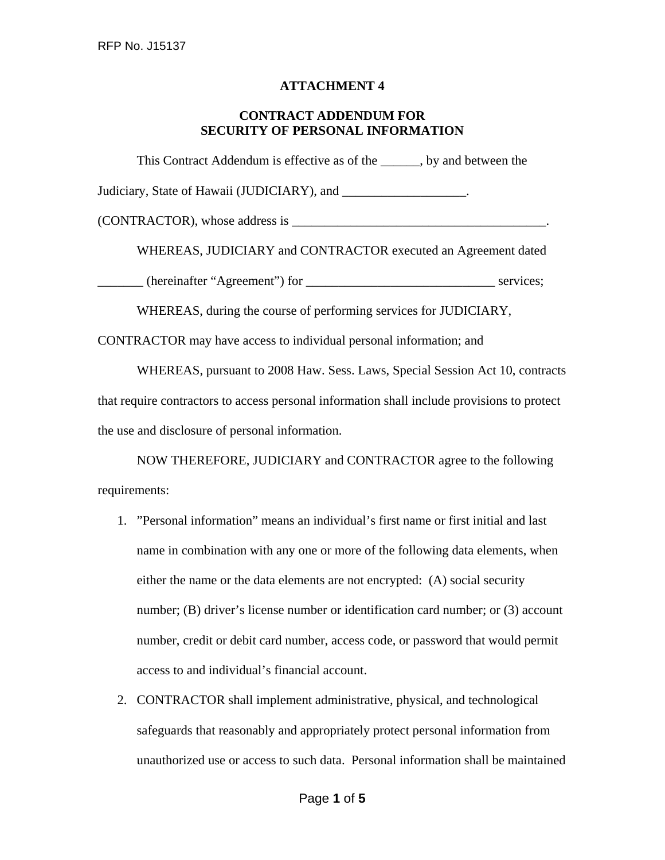## **ATTACHMENT 4**

## **CONTRACT ADDENDUM FOR SECURITY OF PERSONAL INFORMATION**

This Contract Addendum is effective as of the \_\_\_\_\_\_, by and between the Judiciary, State of Hawaii (JUDICIARY), and \_\_\_\_\_\_\_\_\_\_\_\_\_\_\_\_\_\_\_. (CONTRACTOR), whose address is \_\_\_\_\_\_\_\_\_\_\_\_\_\_\_\_\_\_\_\_\_\_\_\_\_\_\_\_\_\_\_\_\_\_\_\_\_\_\_. WHEREAS, JUDICIARY and CONTRACTOR executed an Agreement dated \_\_\_\_\_\_\_ (hereinafter "Agreement") for \_\_\_\_\_\_\_\_\_\_\_\_\_\_\_\_\_\_\_\_\_\_\_\_\_\_\_\_\_ services; WHEREAS, during the course of performing services for JUDICIARY,

CONTRACTOR may have access to individual personal information; and

WHEREAS, pursuant to 2008 Haw. Sess. Laws, Special Session Act 10, contracts that require contractors to access personal information shall include provisions to protect the use and disclosure of personal information.

NOW THEREFORE, JUDICIARY and CONTRACTOR agree to the following requirements:

- 1. "Personal information" means an individual's first name or first initial and last name in combination with any one or more of the following data elements, when either the name or the data elements are not encrypted: (A) social security number; (B) driver's license number or identification card number; or (3) account number, credit or debit card number, access code, or password that would permit access to and individual's financial account.
- 2. CONTRACTOR shall implement administrative, physical, and technological safeguards that reasonably and appropriately protect personal information from unauthorized use or access to such data. Personal information shall be maintained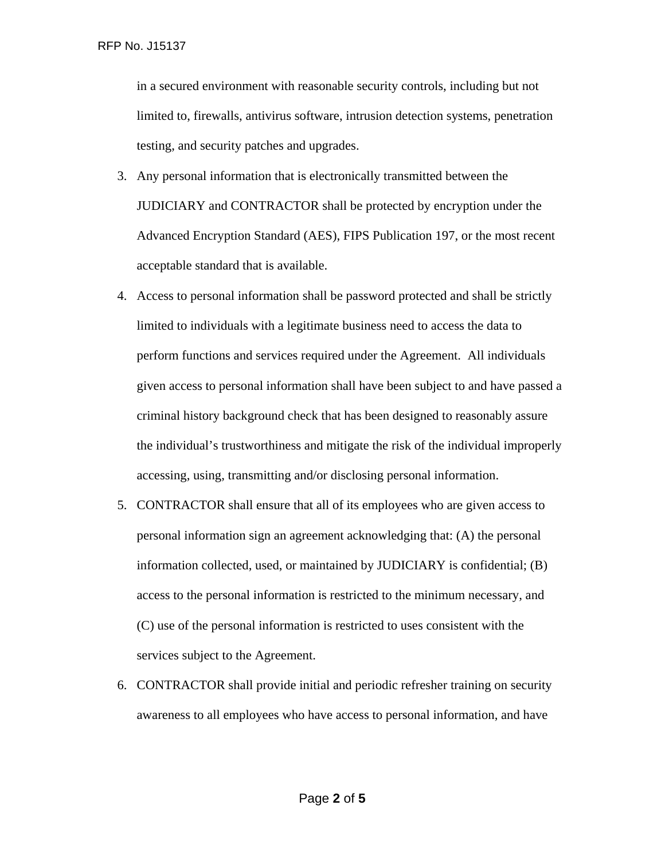in a secured environment with reasonable security controls, including but not limited to, firewalls, antivirus software, intrusion detection systems, penetration testing, and security patches and upgrades.

- 3. Any personal information that is electronically transmitted between the JUDICIARY and CONTRACTOR shall be protected by encryption under the Advanced Encryption Standard (AES), FIPS Publication 197, or the most recent acceptable standard that is available.
- 4. Access to personal information shall be password protected and shall be strictly limited to individuals with a legitimate business need to access the data to perform functions and services required under the Agreement. All individuals given access to personal information shall have been subject to and have passed a criminal history background check that has been designed to reasonably assure the individual's trustworthiness and mitigate the risk of the individual improperly accessing, using, transmitting and/or disclosing personal information.
- 5. CONTRACTOR shall ensure that all of its employees who are given access to personal information sign an agreement acknowledging that: (A) the personal information collected, used, or maintained by JUDICIARY is confidential; (B) access to the personal information is restricted to the minimum necessary, and (C) use of the personal information is restricted to uses consistent with the services subject to the Agreement.
- 6. CONTRACTOR shall provide initial and periodic refresher training on security awareness to all employees who have access to personal information, and have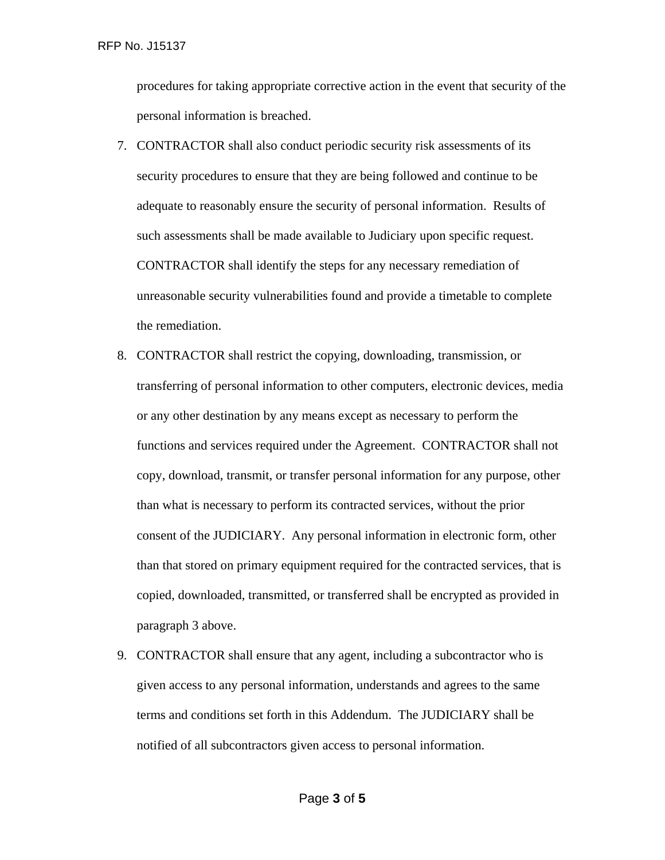procedures for taking appropriate corrective action in the event that security of the personal information is breached.

- 7. CONTRACTOR shall also conduct periodic security risk assessments of its security procedures to ensure that they are being followed and continue to be adequate to reasonably ensure the security of personal information. Results of such assessments shall be made available to Judiciary upon specific request. CONTRACTOR shall identify the steps for any necessary remediation of unreasonable security vulnerabilities found and provide a timetable to complete the remediation.
- 8. CONTRACTOR shall restrict the copying, downloading, transmission, or transferring of personal information to other computers, electronic devices, media or any other destination by any means except as necessary to perform the functions and services required under the Agreement. CONTRACTOR shall not copy, download, transmit, or transfer personal information for any purpose, other than what is necessary to perform its contracted services, without the prior consent of the JUDICIARY. Any personal information in electronic form, other than that stored on primary equipment required for the contracted services, that is copied, downloaded, transmitted, or transferred shall be encrypted as provided in paragraph 3 above.
- 9. CONTRACTOR shall ensure that any agent, including a subcontractor who is given access to any personal information, understands and agrees to the same terms and conditions set forth in this Addendum. The JUDICIARY shall be notified of all subcontractors given access to personal information.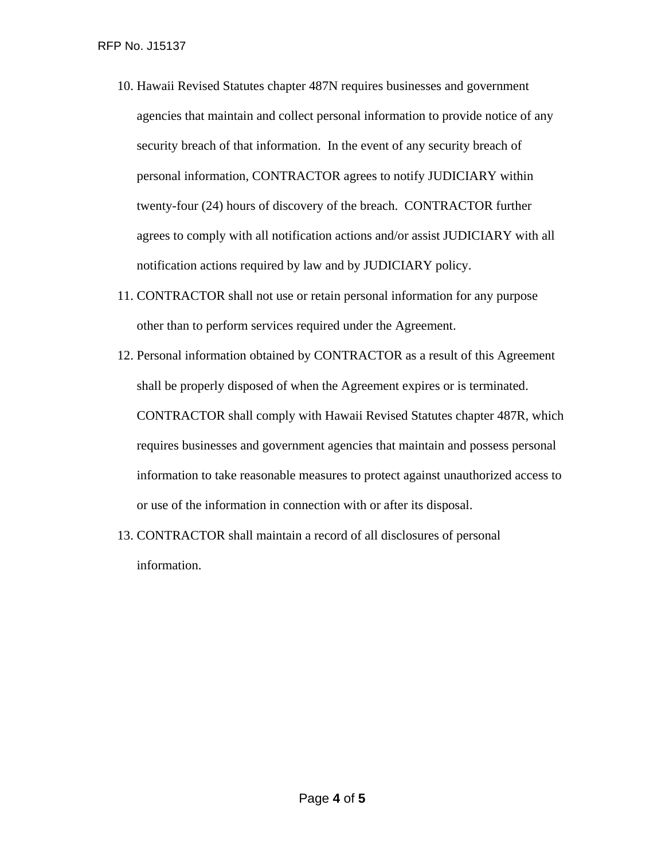- 10. Hawaii Revised Statutes chapter 487N requires businesses and government agencies that maintain and collect personal information to provide notice of any security breach of that information. In the event of any security breach of personal information, CONTRACTOR agrees to notify JUDICIARY within twenty-four (24) hours of discovery of the breach. CONTRACTOR further agrees to comply with all notification actions and/or assist JUDICIARY with all notification actions required by law and by JUDICIARY policy.
- 11. CONTRACTOR shall not use or retain personal information for any purpose other than to perform services required under the Agreement.
- 12. Personal information obtained by CONTRACTOR as a result of this Agreement shall be properly disposed of when the Agreement expires or is terminated. CONTRACTOR shall comply with Hawaii Revised Statutes chapter 487R, which requires businesses and government agencies that maintain and possess personal information to take reasonable measures to protect against unauthorized access to or use of the information in connection with or after its disposal.
- 13. CONTRACTOR shall maintain a record of all disclosures of personal information.